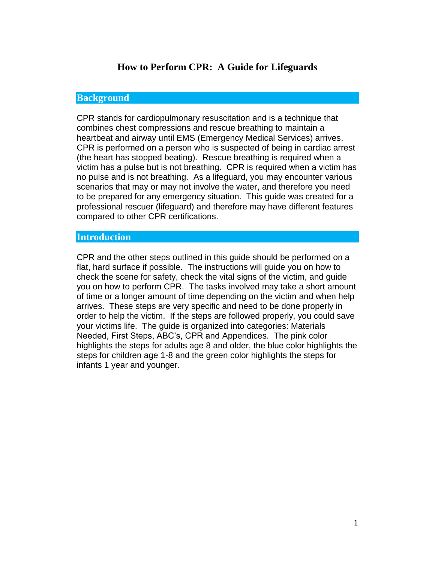# **How to Perform CPR: A Guide for Lifeguards**

#### **Background**

CPR stands for cardiopulmonary resuscitation and is a technique that combines chest compressions and rescue breathing to maintain a heartbeat and airway until EMS (Emergency Medical Services) arrives. CPR is performed on a person who is suspected of being in cardiac arrest (the heart has stopped beating). Rescue breathing is required when a victim has a pulse but is not breathing. CPR is required when a victim has no pulse and is not breathing. As a lifeguard, you may encounter various scenarios that may or may not involve the water, and therefore you need to be prepared for any emergency situation. This guide was created for a professional rescuer (lifeguard) and therefore may have different features compared to other CPR certifications.

#### **Introduction**

CPR and the other steps outlined in this guide should be performed on a flat, hard surface if possible. The instructions will guide you on how to check the scene for safety, check the vital signs of the victim, and guide you on how to perform CPR. The tasks involved may take a short amount of time or a longer amount of time depending on the victim and when help arrives. These steps are very specific and need to be done properly in order to help the victim. If the steps are followed properly, you could save your victims life. The guide is organized into categories: Materials Needed, First Steps, ABC's, CPR and Appendices. The pink color highlights the steps for adults age 8 and older, the blue color highlights the steps for children age 1-8 and the green color highlights the steps for infants 1 year and younger.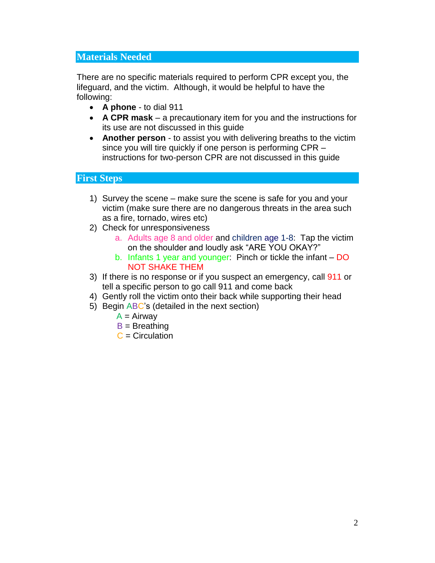#### **Materials Needed**

There are no specific materials required to perform CPR except you, the lifeguard, and the victim. Although, it would be helpful to have the following:

- **A phone** to dial 911
- **A CPR mask** a precautionary item for you and the instructions for its use are not discussed in this guide
- **Another person** to assist you with delivering breaths to the victim since you will tire quickly if one person is performing CPR – instructions for two-person CPR are not discussed in this guide

#### **First Steps**

- 1) Survey the scene make sure the scene is safe for you and your victim (make sure there are no dangerous threats in the area such as a fire, tornado, wires etc)
- 2) Check for unresponsiveness
	- a. Adults age 8 and older and children age 1-8: Tap the victim on the shoulder and loudly ask "ARE YOU OKAY?"
	- b. Infants 1 year and younger: Pinch or tickle the infant DO NOT SHAKE THEM
- 3) If there is no response or if you suspect an emergency, call 911 or tell a specific person to go call 911 and come back
- 4) Gently roll the victim onto their back while supporting their head
- 5) Begin ABC's (detailed in the next section)
	- $A = Airway$
	- $B = B$ reathing
	- $C =$  Circulation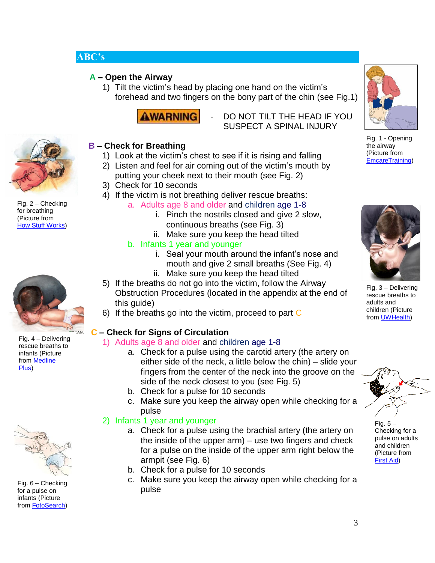# **ABC's**

## **A – Open the Airway**

1) Tilt the victim's head by placing one hand on the victim's forehead and two fingers on the bony part of the chin (see Fig.1)



DO NOT TILT THE HEAD IF YOU SUSPECT A SPINAL INJURY



Fig. 2 – Checking for breathing (Picture from [How Stuff Works\)](http://static.howstuffworks.com/gif/abc-5.jpg)

# **B – Check for Breathing**

- 1) Look at the victim's chest to see if it is rising and falling
- 2) Listen and feel for air coming out of the victim's mouth by putting your cheek next to their mouth (see Fig. 2)
- 3) Check for 10 seconds
- 4) If the victim is not breathing deliver rescue breaths:
	- a. Adults age 8 and older and children age 1-8
		- i. Pinch the nostrils closed and give 2 slow, continuous breaths (see Fig. 3)
		- ii. Make sure you keep the head tilted
		- b. Infants 1 year and younger
			- i. Seal your mouth around the infant's nose and mouth and give 2 small breaths (See Fig. 4)
			- ii. Make sure you keep the head tilted
- 5) If the breaths do not go into the victim, follow the Airway Obstruction Procedures (located in the appendix at the end of this guide)
- 6) If the breaths go into the victim, proceed to part C

# **C – Check for Signs of Circulation**

#### 1) Adults age 8 and older and children age 1-8

- a. Check for a pulse using the carotid artery (the artery on either side of the neck, a little below the chin) – slide your fingers from the center of the neck into the groove on the side of the neck closest to you (see Fig. 5)
- b. Check for a pulse for 10 seconds
- c. Make sure you keep the airway open while checking for a pulse

#### 2) Infants 1 year and younger

- a. Check for a pulse using the brachial artery (the artery on the inside of the upper arm) – use two fingers and check for a pulse on the inside of the upper arm right below the armpit (see Fig. 6)
- b. Check for a pulse for 10 seconds
- c. Make sure you keep the airway open while checking for a pulse



Fig. 1 - Opening the airway (Picture from [EmcareTraining\)](http://www.emcare-training.com/members/1515353/uploaded/Airway.jpg)



Fig. 3 – Delivering rescue breaths to adults and children (Picture from [UWHealth\)](http://apps.uwhealth.org/adam/graphics/images/en/18159.jpg)



Fig. 5 – Checking for a pulse on adults and children (Picture from [First Aid\)](http://images.google.com/imgres?imgurl=http://www.the-office.com/Fig3X5.gif&imgrefurl=http://www.the-office.com/cpr.htm&usg=__EJ0pcgmVu2r2b4CNaYDJbDZUxms=&h=186&w=267&sz=6&hl=en&start=19&um=1&tbnid=cCMeTD_Bx5aXOM:&tbnh=79&tbnw=113&prev=/images%3Fq%3DCPR%2B)

Fig. 4 – Delivering rescue breaths to infants (Picture from [Medline](http://images.google.com/imgres?imgurl=http://www.nlm.nih.gov/medlineplus/ency/images/ency/fullsize/19669.jpg&imgrefurl=http://www.nlm.nih.gov/medlineplus/ency/presentations/100216_2.htm&usg=__Y7pkxjCQhN6B15lb7TE-5bhws-U=&h=320&w=400&sz=17&hl=en&start=3&um)  [Plus\)](http://images.google.com/imgres?imgurl=http://www.nlm.nih.gov/medlineplus/ency/images/ency/fullsize/19669.jpg&imgrefurl=http://www.nlm.nih.gov/medlineplus/ency/presentations/100216_2.htm&usg=__Y7pkxjCQhN6B15lb7TE-5bhws-U=&h=320&w=400&sz=17&hl=en&start=3&um)



Fig. 6 – Checking for a pulse on infants (Picture from [FotoSearch\)](http://images.google.com/imgres?imgurl=http://www.fotosearch.com/bthumb/LIF/LIF141/NU304001.jpg&imgrefurl=http://www.fotosearch.com/clip-art/pulse.html&usg=__VpUOuabVWmHzFq-KOeY8FDrpoH8=&h=152&w=170&sz=7&hl=en&start=22&um=1&tbnid=ERnGfI3kxsmdSM:&tbnh=89&tb)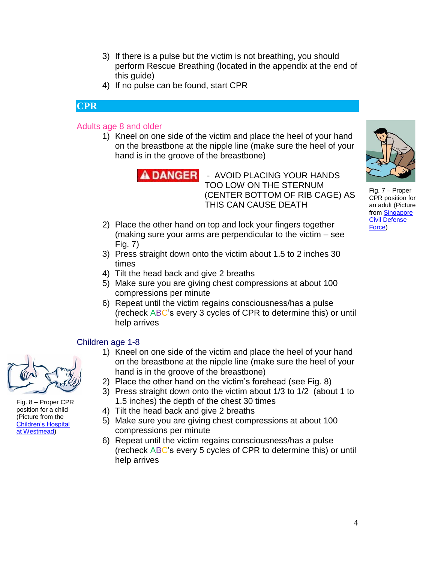- 3) If there is a pulse but the victim is not breathing, you should perform Rescue Breathing (located in the appendix at the end of this guide)
- 4) If no pulse can be found, start CPR

## **CPR**

#### Adults age 8 and older

1) Kneel on one side of the victim and place the heel of your hand on the breastbone at the nipple line (make sure the heel of your hand is in the groove of the breastbone)



- AVOID PLACING YOUR HANDS TOO LOW ON THE STERNUM (CENTER BOTTOM OF RIB CAGE) AS THIS CAN CAUSE DEATH

- 2) Place the other hand on top and lock your fingers together (making sure your arms are perpendicular to the victim – see Fig. 7)
- 3) Press straight down onto the victim about 1.5 to 2 inches 30 times
- 4) Tilt the head back and give 2 breaths
- 5) Make sure you are giving chest compressions at about 100 compressions per minute
- 6) Repeat until the victim regains consciousness/has a pulse (recheck ABC's every 3 cycles of CPR to determine this) or until help arrives

#### Children age 1-8

- 1) Kneel on one side of the victim and place the heel of your hand on the breastbone at the nipple line (make sure the heel of your hand is in the groove of the breastbone)
- 2) Place the other hand on the victim's forehead (see Fig. 8)
- 3) Press straight down onto the victim about 1/3 to 1/2 (about 1 to 1.5 inches) the depth of the chest 30 times
- 4) Tilt the head back and give 2 breaths
- 5) Make sure you are giving chest compressions at about 100 compressions per minute
- 6) Repeat until the victim regains consciousness/has a pulse (recheck ABC's every 5 cycles of CPR to determine this) or until help arrives



Fig. 8 – Proper CPR position for a child (Picture from the [Children's Hospital](http://images.google.com/imgres?imgurl=http://www.chw.edu.au/parents/factsheets/imgs/cpr_006.jpg&imgrefurl=http://www.chw.edu.au/parents/factsheets/children_over_12t.htm&usg=__tJeKD3oSrWtmOqqa27Ppu6M9QuU=&h=186&w=336&sz=66&hl=en&start=43&um=1&tbnid=7Wqj0aF)  [at Westmead\)](http://images.google.com/imgres?imgurl=http://www.chw.edu.au/parents/factsheets/imgs/cpr_006.jpg&imgrefurl=http://www.chw.edu.au/parents/factsheets/children_over_12t.htm&usg=__tJeKD3oSrWtmOqqa27Ppu6M9QuU=&h=186&w=336&sz=66&hl=en&start=43&um=1&tbnid=7Wqj0aF)



Fig. 7 – Proper CPR position for an adult (Picture from [Singapore](http://images.google.com/imgres?imgurl=http://internet-stg.scdf.gov.sg/images/community_volunteer/learncd/firstaid/cardio%2520pulmonary%2520resuscitation/stop_compressions.jpg&imgrefurl=http://internet-stg.scdf.gov.sg/Community_and_CD_Volunteers/Learn_Civi)  [Civil Defense](http://images.google.com/imgres?imgurl=http://internet-stg.scdf.gov.sg/images/community_volunteer/learncd/firstaid/cardio%2520pulmonary%2520resuscitation/stop_compressions.jpg&imgrefurl=http://internet-stg.scdf.gov.sg/Community_and_CD_Volunteers/Learn_Civi)  [Force\)](http://images.google.com/imgres?imgurl=http://internet-stg.scdf.gov.sg/images/community_volunteer/learncd/firstaid/cardio%2520pulmonary%2520resuscitation/stop_compressions.jpg&imgrefurl=http://internet-stg.scdf.gov.sg/Community_and_CD_Volunteers/Learn_Civi)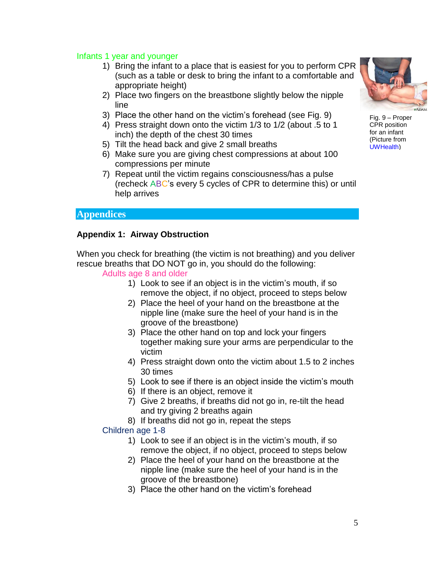#### Infants 1 year and younger

- 1) Bring the infant to a place that is easiest for you to perform CPR (such as a table or desk to bring the infant to a comfortable and appropriate height)
- 2) Place two fingers on the breastbone slightly below the nipple line
- 3) Place the other hand on the victim's forehead (see Fig. 9)
- 4) Press straight down onto the victim 1/3 to 1/2 (about .5 to 1 inch) the depth of the chest 30 times
- 5) Tilt the head back and give 2 small breaths
- 6) Make sure you are giving chest compressions at about 100 compressions per minute
- 7) Repeat until the victim regains consciousness/has a pulse (recheck ABC's every 5 cycles of CPR to determine this) or until help arrives

## **Appendices**

#### **Appendix 1: Airway Obstruction**

When you check for breathing (the victim is not breathing) and you deliver rescue breaths that DO NOT go in, you should do the following:

#### Adults age 8 and older

- 1) Look to see if an object is in the victim's mouth, if so remove the object, if no object, proceed to steps below
- 2) Place the heel of your hand on the breastbone at the nipple line (make sure the heel of your hand is in the groove of the breastbone)
- 3) Place the other hand on top and lock your fingers together making sure your arms are perpendicular to the victim
- 4) Press straight down onto the victim about 1.5 to 2 inches 30 times
- 5) Look to see if there is an object inside the victim's mouth
- 6) If there is an object, remove it
- 7) Give 2 breaths, if breaths did not go in, re-tilt the head and try giving 2 breaths again
- 8) If breaths did not go in, repeat the steps

#### Children age 1-8

- 1) Look to see if an object is in the victim's mouth, if so remove the object, if no object, proceed to steps below
- 2) Place the heel of your hand on the breastbone at the nipple line (make sure the heel of your hand is in the groove of the breastbone)
- 3) Place the other hand on the victim's forehead



Fig. 9 – Proper CPR position for an infant (Picture from [UWHealth\)](http://images.google.com/imgres?imgurl=http://apps.uwhealth.org/health/adam/graphics/images/en/19670.jpg&imgrefurl=http://apps.uwhealth.org/health/adam/sp/13/100216.htm&usg=__P2q82O_8GOLGikKTYJv12nlVtV4=&h=320&w=400&sz=19&hl=en&start=1&um=1&tbnid=Bny4oCsJj)